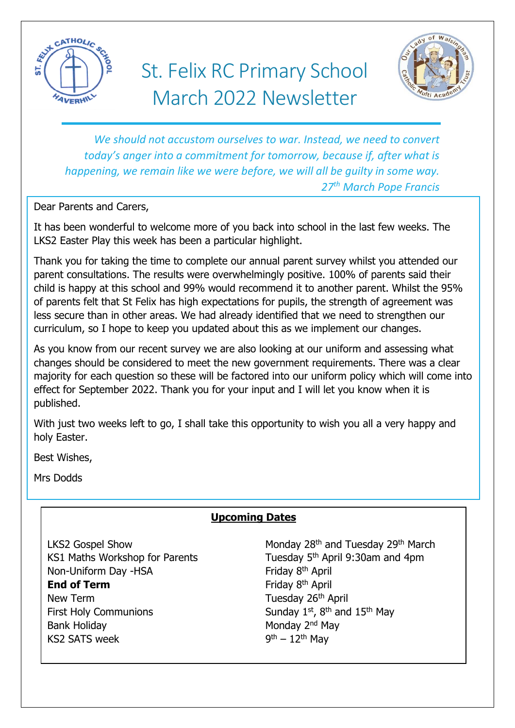

# St. Felix RC Primary School March 2022 Newsletter



*We should not accustom ourselves to war. Instead, we need to convert today's anger into a commitment for tomorrow, because if, after what is happening, we remain like we were before, we will all be guilty in some way. 27th March Pope Francis*

Dear Parents and Carers,

It has been wonderful to welcome more of you back into school in the last few weeks. The LKS2 Easter Play this week has been a particular highlight.

Thank you for taking the time to complete our annual parent survey whilst you attended our parent consultations. The results were overwhelmingly positive. 100% of parents said their child is happy at this school and 99% would recommend it to another parent. Whilst the 95% of parents felt that St Felix has high expectations for pupils, the strength of agreement was less secure than in other areas. We had already identified that we need to strengthen our curriculum, so I hope to keep you updated about this as we implement our changes.

As you know from our recent survey we are also looking at our uniform and assessing what changes should be considered to meet the new government requirements. There was a clear majority for each question so these will be factored into our uniform policy which will come into effect for September 2022. Thank you for your input and I will let you know when it is published.

With just two weeks left to go, I shall take this opportunity to wish you all a very happy and holy Easter.

Best Wishes,

Mrs Dodds

# **Upcoming Dates**

Non-Uniform Day -HSA Friday 8<sup>th</sup> April **End of Term** Friday 8<sup>th</sup> April New Term Tuesday 26<sup>th</sup> April First Holy Communions Sunday 1st,  $8<sup>th</sup>$  and  $15<sup>th</sup>$  May Bank Holiday Monday 2<sup>nd</sup> May KS2 SATS week

LKS2 Gospel Show Monday 28<sup>th</sup> and Tuesday 29<sup>th</sup> March KS1 Maths Workshop for Parents Tuesday 5<sup>th</sup> April 9:30am and 4pm  $9<sup>th</sup> - 12<sup>th</sup>$  Mav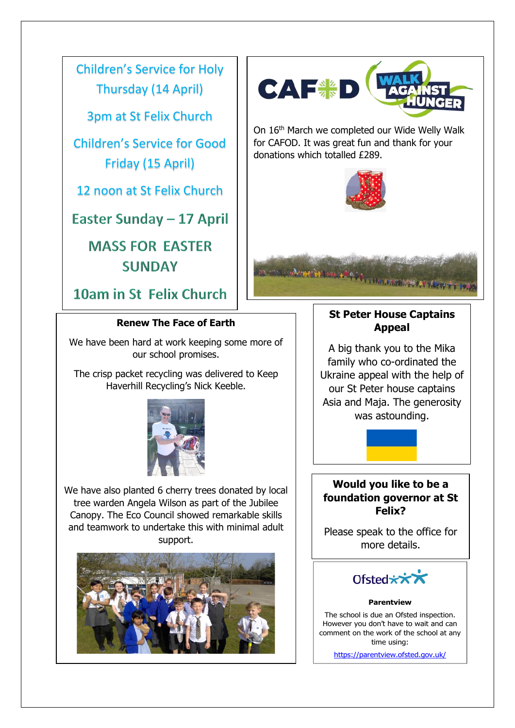Children's Service for Holy Thursday (14 April)

3pm at St Felix Church

Children's Service for Good Friday (15 April)

12 noon at St Felix Church

Easter Sunday - 17 April

**MASS FOR EASTER SUNDAY** 

10am in St Felix Church

#### **Renew The Face of Earth**

We have been hard at work keeping some more of our school promises.

The crisp packet recycling was delivered to Keep Haverhill Recycling's Nick Keeble.



We have also planted 6 cherry trees donated by local tree warden Angela Wilson as part of the Jubilee Canopy. The Eco Council showed remarkable skills and teamwork to undertake this with minimal adult support.







On 16th March we completed our Wide Welly Walk for CAFOD. It was great fun and thank for your donations which totalled £289.





## **St Peter House Captains Appeal**

A big thank you to the Mika family who co-ordinated the Ukraine appeal with the help of our St Peter house captains Asia and Maja. The generosity was astounding.



## **Would you like to be a foundation governor at St Felix?**

Please speak to the office for more details.



#### **Parentview**

The school is due an Ofsted inspection. However you don't have to wait and can comment on the work of the school at any time using:

https://parentview.ofsted.gov.uk/